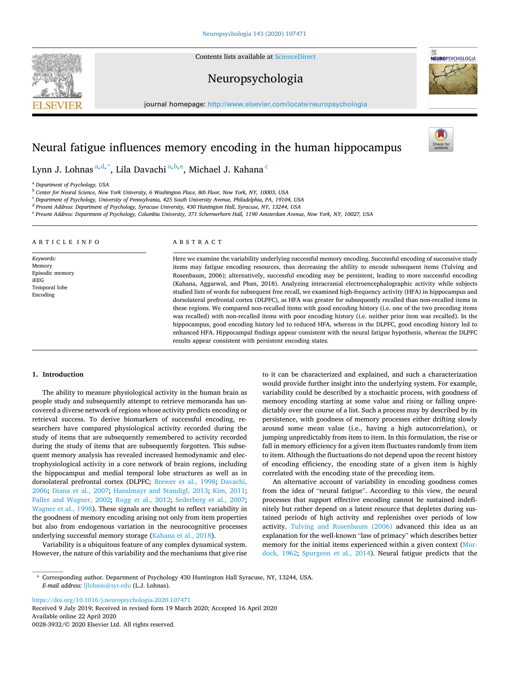Contents lists available at [ScienceDirect](www.sciencedirect.com/science/journal/00283932)

# Neuropsychologia

journal homepage: [http://www.elsevier.com/locate/neuropsychologia](https://http://www.elsevier.com/locate/neuropsychologia)

# Neural fatigue influences memory encoding in the human hippocampus

Lynn J. Lohnas<sup>a,d,\*</sup>, Lila Davachi<sup>a,b,e</sup>, Michael J. Kahana<sup>c</sup>

<sup>a</sup> *Department of Psychology, USA* 

<sup>b</sup> *Center for Neural Science, New York University, 6 Washington Place, 8th Floor, New York, NY, 10003, USA* 

<sup>c</sup> *Department of Psychology, University of Pennsylvania, 425 South University Avenue, Philadelphia, PA, 19104, USA* 

<sup>d</sup> *Present Address: Department of Psychology, Syracuse University, 430 Huntington Hall, Syracuse, NY, 13244, USA* 

<sup>e</sup> *Present Address: Department of Psychology, Columbia University, 371 Schermerhorn Hall, 1190 Amsterdam Avenue, New York, NY, 10027, USA* 

#### ARTICLE INFO

*Keywords:*  Memory Episodic memory iEEG Temporal lobe Encoding

# ABSTRACT

Here we examine the variability underlying successful memory encoding. Successful encoding of successive study items may fatigue encoding resources, thus decreasing the ability to encode subsequent items (Tulving and Rosenbaum, 2006); alternatively, successful encoding may be persistent, leading to more successful encoding (Kahana, Aggarwal, and Phan, 2018). Analyzing intracranial electroencephalographic activity while subjects studied lists of words for subsequent free recall, we examined high-frequency activity (HFA) in hippocampus and dorsolateral prefrontal cortex (DLPFC), as HFA was greater for subsequently recalled than non-recalled items in these regions. We compared non-recalled items with good encoding history (i.e. one of the two preceding items was recalled) with non-recalled items with poor encoding history (i.e. neither prior item was recalled). In the hippocampus, good encoding history led to reduced HFA, whereas in the DLPFC, good encoding history led to enhanced HFA. Hippocampal findings appear consistent with the neural fatigue hypothesis, whereas the DLPFC results appear consistent with persistent encoding states.

# **1. Introduction**

The ability to measure physiological activity in the human brain as people study and subsequently attempt to retrieve memoranda has uncovered a diverse network of regions whose activity predicts encoding or retrieval success. To derive biomarkers of successful encoding, researchers have compared physiological activity recorded during the study of items that are subsequently remembered to activity recorded during the study of items that are subsequently forgotten. This subsequent memory analysis has revealed increased hemodynamic and electrophysiological activity in a core network of brain regions, including the hippocampus and medial temporal lobe structures as well as in dorsolateral prefrontal cortex (DLPFC; [Brewer et al., 1998;](#page-5-0) [Davachi,](#page-6-0)  [2006;](#page-6-0) [Diana et al., 2007](#page-6-0); [Hanslmayr and Staudigl, 2013](#page-6-0); [Kim, 2011](#page-6-0); [Paller and Wagner, 2002](#page-6-0); [Rugg et al., 2012](#page-6-0); [Sederberg et al., 2007](#page-6-0); [Wagner et al., 1998\)](#page-6-0). These signals are thought to reflect variability in the goodness of memory encoding arising not only from item properties but also from endogenous variation in the neurocognitive processes underlying successful memory storage ([Kahana et al., 2018\)](#page-6-0).

Variability is a ubiquitous feature of any complex dynamical system. However, the nature of this variability and the mechanisms that give rise to it can be characterized and explained, and such a characterization would provide further insight into the underlying system. For example, variability could be described by a stochastic process, with goodness of memory encoding starting at some value and rising or falling unpredictably over the course of a list. Such a process may by described by its persistence, with goodness of memory processes either drifting slowly around some mean value (i.e., having a high autocorrelation), or jumping unpredictably from item to item. In this formulation, the rise or fall in memory efficiency for a given item fluctuates randomly from item to item. Although the fluctuations do not depend upon the recent history of encoding efficiency, the encoding state of a given item is highly correlated with the encoding state of the preceding item.

An alternative account of variability in encoding goodness comes from the idea of "neural fatigue". According to this view, the neural processes that support effective encoding cannot be sustained indefinitely but rather depend on a latent resource that depletes during sustained periods of high activity and replenishes over periods of low activity. [Tulving and Rosenbaum \(2006\)](#page-6-0) advanced this idea as an explanation for the well-known "law of primacy" which describes better memory for the initial items experienced within a given context [\(Mur](#page-6-0)[dock, 1962](#page-6-0); [Spurgeon et al., 2014\)](#page-6-0). Neural fatigue predicts that the

<https://doi.org/10.1016/j.neuropsychologia.2020.107471>

Available online 22 April 2020 0028-3932/© 2020 Elsevier Ltd. All rights reserved. Received 9 July 2019; Received in revised form 19 March 2020; Accepted 16 April 2020





<sup>\*</sup> Corresponding author. Department of Psychology 430 Huntington Hall Syracuse, NY, 13244, USA. *E-mail address:* [ljlohnas@syr.edu](mailto:ljlohnas@syr.edu) (L.J. Lohnas).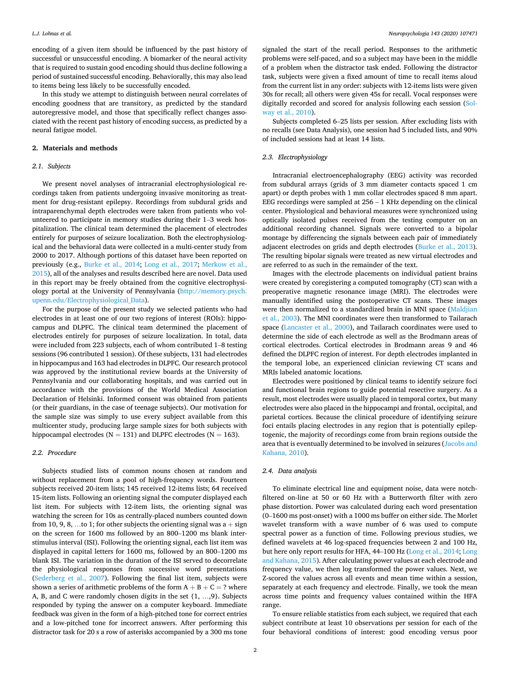encoding of a given item should be influenced by the past history of successful or unsuccessful encoding. A biomarker of the neural activity that is required to sustain good encoding should thus decline following a period of sustained successful encoding. Behaviorally, this may also lead to items being less likely to be successfully encoded.

In this study we attempt to distinguish between neural correlates of encoding goodness that are transitory, as predicted by the standard autoregressive model, and those that specifically reflect changes associated with the recent past history of encoding success, as predicted by a neural fatigue model.

#### **2. Materials and methods**

#### *2.1. Subjects*

We present novel analyses of intracranial electrophysiological recordings taken from patients undergoing invasive monitoring as treatment for drug-resistant epilepsy. Recordings from subdural grids and intraparenchymal depth electrodes were taken from patients who volunteered to participate in memory studies during their 1–3 week hospitalization. The clinical team determined the placement of electrodes entirely for purposes of seizure localization. Both the electrophysiological and the behavioral data were collected in a multi-center study from 2000 to 2017. Although portions of this dataset have been reported on previously (e.g., [Burke et al., 2014;](#page-6-0) [Long et al., 2017;](#page-6-0) [Merkow et al.,](#page-6-0)  [2015\)](#page-6-0), all of the analyses and results described here are novel. Data used in this report may be freely obtained from the cognitive electrophysiology portal at the University of Pennsylvania [\(http://memory.psych.](http://memory.psych.upenn.edu/Electrophysiological_Data)  [upenn.edu/Electrophysiological\\_Data](http://memory.psych.upenn.edu/Electrophysiological_Data)).

For the purpose of the present study we selected patients who had electrodes in at least one of our two regions of interest (ROIs): hippocampus and DLPFC. The clinical team determined the placement of electrodes entirely for purposes of seizure localization. In total, data were included from 223 subjects, each of whom contributed 1–8 testing sessions (96 contributed 1 session). Of these subjects, 131 had electrodes in hippocampus and 163 had electrodes in DLPFC. Our research protocol was approved by the institutional review boards at the University of Pennsylvania and our collaborating hospitals, and was carried out in accordance with the provisions of the World Medical Association Declaration of Helsinki. Informed consent was obtained from patients (or their guardians, in the case of teenage subjects). Our motivation for the sample size was simply to use every subject available from this multicenter study, producing large sample sizes for both subjects with hippocampal electrodes ( $N = 131$ ) and DLPFC electrodes ( $N = 163$ ).

# *2.2. Procedure*

Subjects studied lists of common nouns chosen at random and without replacement from a pool of high-frequency words. Fourteen subjects received 20-item lists; 145 received 12-items lists; 64 received 15-item lists. Following an orienting signal the computer displayed each list item. For subjects with 12-item lists, the orienting signal was watching the screen for 10s as centrally-placed numbers counted down from 10, 9, 8, ...to 1; for other subjects the orienting signal was  $a + sign$ on the screen for 1600 ms followed by an 800–1200 ms blank interstimulus interval (ISI). Following the orienting signal, each list item was displayed in capital letters for 1600 ms, followed by an 800–1200 ms blank ISI. The variation in the duration of the ISI served to decorrelate the physiological responses from successive word presentations ([Sederberg et al., 2007](#page-6-0)). Following the final list item, subjects were shown a series of arithmetic problems of the form  $A + B + C = ?$  where A, B, and C were randomly chosen digits in the set {1, …,9}. Subjects responded by typing the answer on a computer keyboard. Immediate feedback was given in the form of a high-pitched tone for correct entries and a low-pitched tone for incorrect answers. After performing this distractor task for 20 s a row of asterisks accompanied by a 300 ms tone

signaled the start of the recall period. Responses to the arithmetic problems were self-paced, and so a subject may have been in the middle of a problem when the distractor task ended. Following the distractor task, subjects were given a fixed amount of time to recall items aloud from the current list in any order: subjects with 12-items lists were given 30s for recall; all others were given 45s for recall. Vocal responses were digitally recorded and scored for analysis following each session [\(Sol](#page-6-0)[way et al., 2010\)](#page-6-0).

Subjects completed 6–25 lists per session. After excluding lists with no recalls (see Data Analysis), one session had 5 included lists, and 90% of included sessions had at least 14 lists.

# *2.3. Electrophysiology*

Intracranial electroencephalography (EEG) activity was recorded from subdural arrays (grids of 3 mm diameter contacts spaced 1 cm apart) or depth probes with 1 mm collar electrodes spaced 8 mm apart. EEG recordings were sampled at 256 – 1 KHz depending on the clinical center. Physiological and behavioral measures were synchronized using optically isolated pulses received from the testing computer on an additional recording channel. Signals were converted to a bipolar montage by differencing the signals between each pair of immediately adjacent electrodes on grids and depth electrodes [\(Burke et al., 2013](#page-6-0)). The resulting bipolar signals were treated as new virtual electrodes and are referred to as such in the remainder of the text.

Images with the electrode placements on individual patient brains were created by coregistering a computed tomography (CT) scan with a preoperative magnetic resonance image (MRI). The electrodes were manually identified using the postoperative CT scans. These images were then normalized to a standardized brain in MNI space (Maldjian [et al., 2003](#page-6-0)). The MNI coordinates were then transformed to Tailarach space ([Lancaster et al., 2000\)](#page-6-0), and Tailarach coordinates were used to determine the side of each electrode as well as the Brodmann areas of cortical electrodes. Cortical electrodes in Brodmann areas 9 and 46 defined the DLPFC region of interest. For depth electrodes implanted in the temporal lobe, an experienced clinician reviewing CT scans and MRIs labeled anatomic locations.

Electrodes were positioned by clinical teams to identify seizure foci and functional brain regions to guide potential resective surgery. As a result, most electrodes were usually placed in temporal cortex, but many electrodes were also placed in the hippocampi and frontal, occipital, and parietal cortices. Because the clinical procedure of identifying seizure foci entails placing electrodes in any region that is potentially epileptogenic, the majority of recordings come from brain regions outside the area that is eventually determined to be involved in seizures [\(Jacobs and](#page-6-0)  [Kahana, 2010\)](#page-6-0).

# *2.4. Data analysis*

To eliminate electrical line and equipment noise, data were notchfiltered on-line at 50 or 60 Hz with a Butterworth filter with zero phase distortion. Power was calculated during each word presentation (0–1600 ms post-onset) with a 1000 ms buffer on either side. The Morlet wavelet transform with a wave number of 6 was used to compute spectral power as a function of time. Following previous studies, we defined wavelets at 46 log-spaced frequencies between 2 and 100 Hz, but here only report results for HFA, 44–100 Hz ([Long et al., 2014](#page-6-0); [Long](#page-6-0)  [and Kahana, 2015\)](#page-6-0). After calculating power values at each electrode and frequency value, we then log transformed the power values. Next, we Z-scored the values across all events and mean time within a session, separately at each frequency and electrode. Finally, we took the mean across time points and frequency values contained within the HFA range.

To ensure reliable statistics from each subject, we required that each subject contribute at least 10 observations per session for each of the four behavioral conditions of interest: good encoding versus poor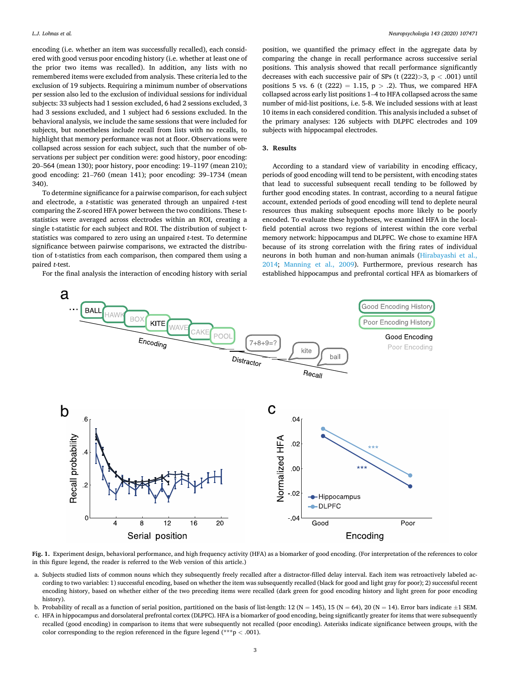<span id="page-2-0"></span>encoding (i.e. whether an item was successfully recalled), each considered with good versus poor encoding history (i.e. whether at least one of the prior two items was recalled). In addition, any lists with no remembered items were excluded from analysis. These criteria led to the exclusion of 19 subjects. Requiring a minimum number of observations per session also led to the exclusion of individual sessions for individual subjects: 33 subjects had 1 session excluded, 6 had 2 sessions excluded, 3 had 3 sessions excluded, and 1 subject had 6 sessions excluded. In the behavioral analysis, we include the same sessions that were included for subjects, but nonetheless include recall from lists with no recalls, to highlight that memory performance was not at floor. Observations were collapsed across session for each subject, such that the number of observations per subject per condition were: good history, poor encoding: 20–564 (mean 130); poor history, poor encoding: 19–1197 (mean 210); good encoding: 21–760 (mean 141); poor encoding: 39–1734 (mean 340).

To determine significance for a pairwise comparison, for each subject and electrode, a *t*-statistic was generated through an unpaired *t*-test comparing the Z-scored HFA power between the two conditions. These tstatistics were averaged across electrodes within an ROI, creating a single t-statistic for each subject and ROI. The distribution of subject tstatistics was compared to zero using an unpaired *t*-test. To determine significance between pairwise comparisons, we extracted the distribution of t-statistics from each comparison, then compared them using a paired *t*-test.

For the final analysis the interaction of encoding history with serial

position, we quantified the primacy effect in the aggregate data by comparing the change in recall performance across successive serial positions. This analysis showed that recall performance significantly decreases with each successive pair of SPs (t (222)*>*3, p *<* .001) until positions 5 vs. 6 (t  $(222) = 1.15$ , p  $> .2$ ). Thus, we compared HFA collapsed across early list positions 1–4 to HFA collapsed across the same number of mid-list positions, i.e. 5-8. We included sessions with at least 10 items in each considered condition. This analysis included a subset of the primary analyses: 126 subjects with DLPFC electrodes and 109 subjects with hippocampal electrodes.

# **3. Results**

According to a standard view of variability in encoding efficacy, periods of good encoding will tend to be persistent, with encoding states that lead to successful subsequent recall tending to be followed by further good encoding states. In contrast, according to a neural fatigue account, extended periods of good encoding will tend to deplete neural resources thus making subsequent epochs more likely to be poorly encoded. To evaluate these hypotheses, we examined HFA in the localfield potential across two regions of interest within the core verbal memory network: hippocampus and DLPFC. We chose to examine HFA because of its strong correlation with the firing rates of individual neurons in both human and non-human animals ([Hirabayashi et al.,](#page-6-0)  [2014;](#page-6-0) [Manning et al., 2009\)](#page-6-0). Furthermore, previous research has established hippocampus and prefrontal cortical HFA as biomarkers of



**Fig. 1.** Experiment design, behavioral performance, and high frequency activity (HFA) as a biomarker of good encoding. (For interpretation of the references to color in this figure legend, the reader is referred to the Web version of this article.)

- a. Subjects studied lists of common nouns which they subsequently freely recalled after a distractor-filled delay interval. Each item was retroactively labeled according to two variables: 1) successful encoding, based on whether the item was subsequently recalled (black for good and light gray for poor); 2) successful recent encoding history, based on whether either of the two preceding items were recalled (dark green for good encoding history and light green for poor encoding history).
- b. Probability of recall as a function of serial position, partitioned on the basis of list-length: 12 (N = 145), 15 (N = 64), 20 (N = 14). Error bars indicate  $\pm 1$  SEM.
- c. HFA in hippocampus and dorsolateral prefrontal cortex (DLPFC). HFA is a biomarker of good encoding, being significantly greater for items that were subsequently recalled (good encoding) in comparison to items that were subsequently not recalled (poor encoding). Asterisks indicate significance between groups, with the color corresponding to the region referenced in the figure legend (\*\*\*p *<* .001).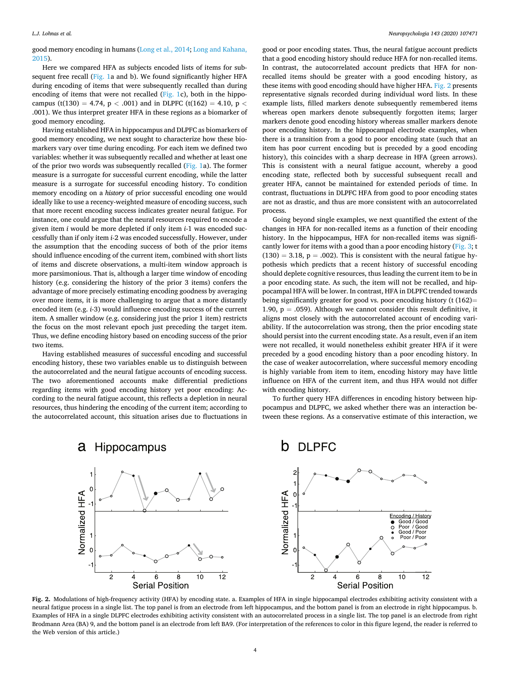good memory encoding in humans [\(Long et al., 2014; Long and Kahana,](#page-6-0)  [2015\)](#page-6-0).

Here we compared HFA as subjects encoded lists of items for subsequent free recall ([Fig. 1](#page-2-0)a and b). We found significantly higher HFA during encoding of items that were subsequently recalled than during encoding of items that were not recalled [\(Fig. 1c](#page-2-0)), both in the hippocampus (t(130) = 4.74,  $p < .001$ ) and in DLPFC (t(162) = 4.10,  $p <$ .001). We thus interpret greater HFA in these regions as a biomarker of good memory encoding.

Having established HFA in hippocampus and DLPFC as biomarkers of good memory encoding, we next sought to characterize how these biomarkers vary over time during encoding. For each item we defined two variables: whether it was subsequently recalled and whether at least one of the prior two words was subsequently recalled [\(Fig. 1](#page-2-0)a). The former measure is a surrogate for successful current encoding, while the latter measure is a surrogate for successful encoding history. To condition memory encoding on a *history* of prior successful encoding one would ideally like to use a recency-weighted measure of encoding success, such that more recent encoding success indicates greater neural fatigue. For instance, one could argue that the neural resources required to encode a given item *i* would be more depleted if only item *i*-1 was encoded successfully than if only item *i-*2 was encoded successfully. However, under the assumption that the encoding success of both of the prior items should influence encoding of the current item, combined with short lists of items and discrete observations, a multi-item window approach is more parsimonious. That is, although a larger time window of encoding history (e.g. considering the history of the prior 3 items) confers the advantage of more precisely estimating encoding goodness by averaging over more items, it is more challenging to argue that a more distantly encoded item (e.g. *i*-3) would influence encoding success of the current item. A smaller window (e.g. considering just the prior 1 item) restricts the focus on the most relevant epoch just preceding the target item. Thus, we define encoding history based on encoding success of the prior two items.

Having established measures of successful encoding and successful encoding history, these two variables enable us to distinguish between the autocorrelated and the neural fatigue accounts of encoding success. The two aforementioned accounts make differential predictions regarding items with good encoding history yet poor encoding: According to the neural fatigue account, this reflects a depletion in neural resources, thus hindering the encoding of the current item; according to the autocorrelated account, this situation arises due to fluctuations in

good or poor encoding states. Thus, the neural fatigue account predicts that a good encoding history should reduce HFA for non-recalled items. In contrast, the autocorrelated account predicts that HFA for nonrecalled items should be greater with a good encoding history, as these items with good encoding should have higher HFA. Fig. 2 presents representative signals recorded during individual word lists. In these example lists, filled markers denote subsequently remembered items whereas open markers denote subsequently forgotten items; larger markers denote good encoding history whereas smaller markers denote poor encoding history. In the hippocampal electrode examples, when there is a transition from a good to poor encoding state (such that an item has poor current encoding but is preceded by a good encoding history), this coincides with a sharp decrease in HFA (green arrows). This is consistent with a neural fatigue account, whereby a good encoding state, reflected both by successful subsequent recall and greater HFA, cannot be maintained for extended periods of time. In contrast, fluctuations in DLPFC HFA from good to poor encoding states are not as drastic, and thus are more consistent with an autocorrelated process.

Going beyond single examples, we next quantified the extent of the changes in HFA for non-recalled items as a function of their encoding history. In the hippocampus, HFA for non-recalled items was signifi-cantly lower for items with a good than a poor encoding history ([Fig. 3;](#page-4-0) t  $(130) = 3.18$ , p = .002). This is consistent with the neural fatigue hypothesis which predicts that a recent history of successful encoding should deplete cognitive resources, thus leading the current item to be in a poor encoding state. As such, the item will not be recalled, and hippocampal HFA will be lower. In contrast, HFA in DLPFC trended towards being significantly greater for good vs. poor encoding history (t  $(162)$ = 1.90,  $p = .059$ ). Although we cannot consider this result definitive, it aligns most closely with the autocorrelated account of encoding variability. If the autocorrelation was strong, then the prior encoding state should persist into the current encoding state. As a result, even if an item were not recalled, it would nonetheless exhibit greater HFA if it were preceded by a good encoding history than a poor encoding history. In the case of weaker autocorrelation, where successful memory encoding is highly variable from item to item, encoding history may have little influence on HFA of the current item, and thus HFA would not differ with encoding history.

To further query HFA differences in encoding history between hippocampus and DLPFC, we asked whether there was an interaction between these regions. As a conservative estimate of this interaction, we



#### Hippocampus а

**Fig. 2.** Modulations of high-frequency activity (HFA) by encoding state. a. Examples of HFA in single hippocampal electrodes exhibiting activity consistent with a neural fatigue process in a single list. The top panel is from an electrode from left hippocampus, and the bottom panel is from an electrode in right hippocampus. b. Examples of HFA in a single DLPFC electrodes exhibiting activity consistent with an autocorrelated process in a single list. The top panel is an electrode from right Brodmann Area (BA) 9, and the bottom panel is an electrode from left BA9. (For interpretation of the references to color in this figure legend, the reader is referred to the Web version of this article.)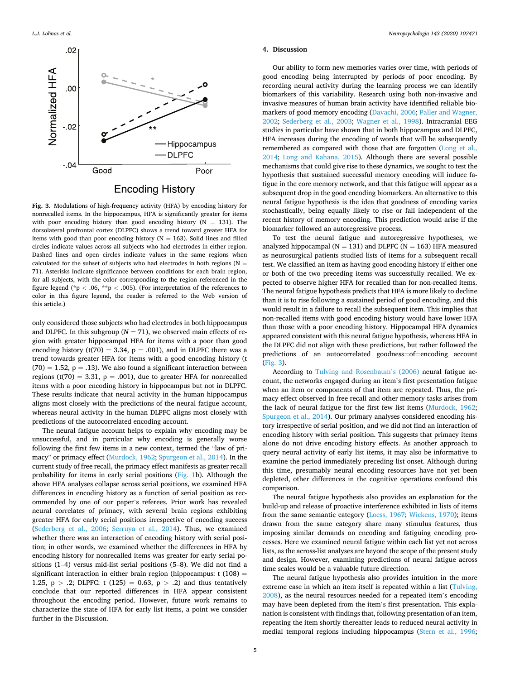<span id="page-4-0"></span>

**Fig. 3.** Modulations of high-frequency activity (HFA) by encoding history for nonrecalled items. In the hippocampus, HFA is significantly greater for items with poor encoding history than good encoding history ( $N = 131$ ). The dorsolateral prefrontal cortex (DLPFC) shows a trend toward greater HFA for items with good than poor encoding history ( $N = 163$ ). Solid lines and filled circles indicate values across all subjects who had electrodes in either region. Dashed lines and open circles indicate values in the same regions when calculated for the subset of subjects who had electrodes in both regions (N  $=$ 71). Asterisks indicate significance between conditions for each brain region, for all subjects, with the color corresponding to the region referenced in the figure legend ( $p < .06$ ,  $p > .005$ ). (For interpretation of the references to color in this figure legend, the reader is referred to the Web version of this article.)

only considered those subjects who had electrodes in both hippocampus and DLPFC. In this subgroup ( $N = 71$ ), we observed main effects of region with greater hippocampal HFA for items with a poor than good encoding history (t(70) = 3.34,  $p = .001$ ), and in DLPFC there was a trend towards greater HFA for items with a good encoding history (t  $(70) = 1.52$ ,  $p = .13$ ). We also found a significant interaction between regions (t(70) = 3.31, p = .001), due to greater HFA for nonrecalled items with a poor encoding history in hippocampus but not in DLPFC. These results indicate that neural activity in the human hippocampus aligns most closely with the predictions of the neural fatigue account, whereas neural activity in the human DLPFC aligns most closely with predictions of the autocorrelated encoding account.

The neural fatigue account helps to explain why encoding may be unsuccessful, and in particular why encoding is generally worse following the first few items in a new context, termed the "law of primacy" or primacy effect [\(Murdock, 1962](#page-6-0); [Spurgeon et al., 2014\)](#page-6-0). In the current study of free recall, the primacy effect manifests as greater recall probability for items in early serial positions [\(Fig. 1](#page-2-0)b). Although the above HFA analyses collapse across serial positions, we examined HFA differences in encoding history as a function of serial position as recommended by one of our paper's referees. Prior work has revealed neural correlates of primacy, with several brain regions exhibiting greater HFA for early serial positions irrespective of encoding success ([Sederberg et al., 2006](#page-6-0); [Serruya et al., 2014\)](#page-6-0). Thus, we examined whether there was an interaction of encoding history with serial position; in other words, we examined whether the differences in HFA by encoding history for nonrecalled items was greater for early serial positions (1–4) versus mid-list serial positions (5–8). We did not find a significant interaction in either brain region (hippocampus:  $t(108) =$ 1.25,  $p > .2$ ; DLPFC: t (125) = 0.63,  $p > .2$ ) and thus tentatively conclude that our reported differences in HFA appear consistent throughout the encoding period. However, future work remains to characterize the state of HFA for early list items, a point we consider further in the Discussion.

#### **4. Discussion**

Our ability to form new memories varies over time, with periods of good encoding being interrupted by periods of poor encoding. By recording neural activity during the learning process we can identify biomarkers of this variability. Research using both non-invasive and invasive measures of human brain activity have identified reliable biomarkers of good memory encoding ([Davachi, 2006; Paller and Wagner,](#page-6-0)  [2002;](#page-6-0) [Sederberg et al., 2003](#page-6-0); [Wagner et al., 1998\)](#page-6-0). Intracranial EEG studies in particular have shown that in both hippocampus and DLPFC, HFA increases during the encoding of words that will be subsequently remembered as compared with those that are forgotten ([Long et al.,](#page-6-0)  [2014;](#page-6-0) [Long and Kahana, 2015\)](#page-6-0). Although there are several possible mechanisms that could give rise to these dynamics, we sought to test the hypothesis that sustained successful memory encoding will induce fatigue in the core memory network, and that this fatigue will appear as a subsequent drop in the good encoding biomarkers. An alternative to this neural fatigue hypothesis is the idea that goodness of encoding varies stochastically, being equally likely to rise or fall independent of the recent history of memory encoding. This prediction would arise if the biomarker followed an autoregressive process.

To test the neural fatigue and autoregressive hypotheses, we analyzed hippocampal ( $N = 131$ ) and DLPFC ( $N = 163$ ) HFA measured as neurosurgical patients studied lists of items for a subsequent recall test. We classified an item as having good encoding history if either one or both of the two preceding items was successfully recalled. We expected to observe higher HFA for recalled than for non-recalled items. The neural fatigue hypothesis predicts that HFA is more likely to decline than it is to rise following a sustained period of good encoding, and this would result in a failure to recall the subsequent item. This implies that non-recalled items with good encoding history would have lower HFA than those with a poor encoding history. Hippocampal HFA dynamics appeared consistent with this neural fatigue hypothesis, whereas HFA in the DLPFC did not align with these predictions, but rather followed the predictions of an autocorrelated goodness=of=encoding account (Fig. 3).

According to [Tulving and Rosenbaum](#page-6-0)'s (2006) neural fatigue account, the networks engaged during an item's first presentation fatigue when an item or components of that item are repeated. Thus, the primacy effect observed in free recall and other memory tasks arises from the lack of neural fatigue for the first few list items ([Murdock, 1962](#page-6-0); [Spurgeon et al., 2014\)](#page-6-0). Our primary analyses considered encoding history irrespective of serial position, and we did not find an interaction of encoding history with serial position. This suggests that primacy items alone do not drive encoding history effects. As another approach to query neural activity of early list items, it may also be informative to examine the period immediately preceding list onset. Although during this time, presumably neural encoding resources have not yet been depleted, other differences in the cognitive operations confound this comparison.

The neural fatigue hypothesis also provides an explanation for the build-up and release of proactive interference exhibited in lists of items from the same semantic category [\(Loess, 1967](#page-6-0); [Wickens, 1970\)](#page-6-0); items drawn from the same category share many stimulus features, thus imposing similar demands on encoding and fatiguing encoding processes. Here we examined neural fatigue within each list yet not across lists, as the across-list analyses are beyond the scope of the present study and design. However, examining predictions of neural fatigue across time scales would be a valuable future direction.

The neural fatigue hypothesis also provides intuition in the more extreme case in which an item itself is repeated within a list [\(Tulving,](#page-6-0)  [2008\)](#page-6-0), as the neural resources needed for a repeated item's encoding may have been depleted from the item's first presentation. This explanation is consistent with findings that, following presentation of an item, repeating the item shortly thereafter leads to reduced neural activity in medial temporal regions including hippocampus [\(Stern et al., 1996](#page-6-0);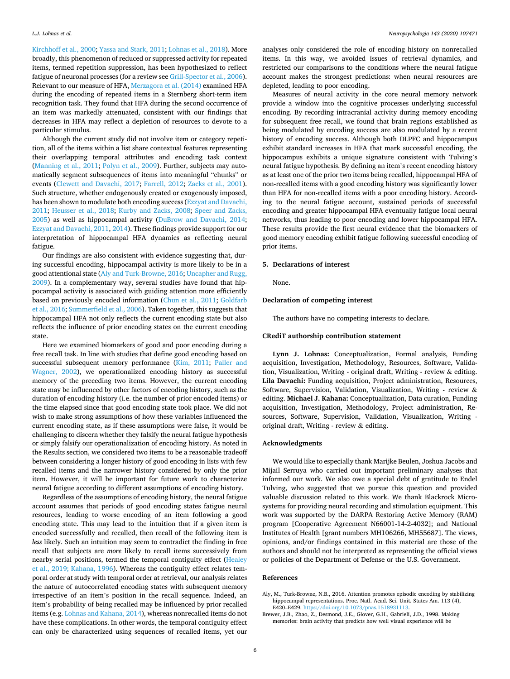<span id="page-5-0"></span>[Kirchhoff et al., 2000; Yassa and Stark, 2011; Lohnas et al., 2018](#page-6-0)). More broadly, this phenomenon of reduced or suppressed activity for repeated items, termed repetition suppression, has been hypothesized to reflect fatigue of neuronal processes (for a review see [Grill-Spector et al., 2006](#page-6-0)). Relevant to our measure of HFA, [Merzagora et al. \(2014\)](#page-6-0) examined HFA during the encoding of repeated items in a Sternberg short-term item recognition task. They found that HFA during the second occurrence of an item was markedly attenuated, consistent with our findings that decreases in HFA may reflect a depletion of resources to devote to a particular stimulus.

Although the current study did not involve item or category repetition, all of the items within a list share contextual features representing their overlapping temporal attributes and encoding task context ([Manning et al., 2011](#page-6-0); [Polyn et al., 2009](#page-6-0)). Further, subjects may automatically segment subsequences of items into meaningful "chunks" or events ([Clewett and Davachi, 2017](#page-6-0); [Farrell, 2012;](#page-6-0) [Zacks et al., 2001](#page-6-0)). Such structure, whether endogenously created or exogenously imposed, has been shown to modulate both encoding success ([Ezzyat and Davachi,](#page-6-0)  [2011;](#page-6-0) [Heusser et al., 2018](#page-6-0); [Kurby and Zacks, 2008](#page-6-0); [Speer and Zacks,](#page-6-0)  [2005\)](#page-6-0) as well as hippocampal activity [\(DuBrow and Davachi, 2014](#page-6-0); [Ezzyat and Davachi, 2011](#page-6-0), [2014](#page-6-0)). These findings provide support for our interpretation of hippocampal HFA dynamics as reflecting neural fatigue.

Our findings are also consistent with evidence suggesting that, during successful encoding, hippocampal activity is more likely to be in a good attentional state (Aly and Turk-Browne, 2016; [Uncapher and Rugg,](#page-6-0)  [2009\)](#page-6-0). In a complementary way, several studies have found that hippocampal activity is associated with guiding attention more efficiently based on previously encoded information ([Chun et al., 2011;](#page-6-0) [Goldfarb](#page-6-0)  [et al., 2016](#page-6-0); [Summerfield et al., 2006\)](#page-6-0). Taken together, this suggests that hippocampal HFA not only reflects the current encoding state but also reflects the influence of prior encoding states on the current encoding state.

Here we examined biomarkers of good and poor encoding during a free recall task. In line with studies that define good encoding based on successful subsequent memory performance ([Kim, 2011](#page-6-0); Paller and [Wagner, 2002\)](#page-6-0), we operationalized encoding history as successful memory of the preceding two items. However, the current encoding state may be influenced by other factors of encoding history, such as the duration of encoding history (i.e. the number of prior encoded items) or the time elapsed since that good encoding state took place. We did not wish to make strong assumptions of how these variables influenced the current encoding state, as if these assumptions were false, it would be challenging to discern whether they falsify the neural fatigue hypothesis or simply falsify our operationalization of encoding history. As noted in the Results section, we considered two items to be a reasonable tradeoff between considering a longer history of good encoding in lists with few recalled items and the narrower history considered by only the prior item. However, it will be important for future work to characterize neural fatigue according to different assumptions of encoding history.

Regardless of the assumptions of encoding history, the neural fatigue account assumes that periods of good encoding states fatigue neural resources, leading to worse encoding of an item following a good encoding state. This may lead to the intuition that if a given item is encoded successfully and recalled, then recall of the following item is *less* likely. Such an intuition may seem to contradict the finding in free recall that subjects are *more* likely to recall items successively from nearby serial positions, termed the temporal contiguity effect [\(Healey](#page-6-0)  [et al., 2019; Kahana, 1996](#page-6-0)). Whereas the contiguity effect relates temporal order at study with temporal order at retrieval, our analysis relates the nature of autocorrelated encoding states with subsequent memory irrespective of an item's position in the recall sequence. Indeed, an item's probability of being recalled may be influenced by prior recalled items (e.g. [Lohnas and Kahana, 2014](#page-6-0)), whereas nonrecalled items do not have these complications. In other words, the temporal contiguity effect can only be characterized using sequences of recalled items, yet our

analyses only considered the role of encoding history on nonrecalled items. In this way, we avoided issues of retrieval dynamics, and restricted our comparisons to the conditions where the neural fatigue account makes the strongest predictions: when neural resources are depleted, leading to poor encoding.

Measures of neural activity in the core neural memory network provide a window into the cognitive processes underlying successful encoding. By recording intracranial activity during memory encoding for subsequent free recall, we found that brain regions established as being modulated by encoding success are also modulated by a recent history of encoding success. Although both DLPFC and hippocampus exhibit standard increases in HFA that mark successful encoding, the hippocampus exhibits a unique signature consistent with Tulving's neural fatigue hypothesis. By defining an item's recent encoding history as at least one of the prior two items being recalled, hippocampal HFA of non-recalled items with a good encoding history was significantly lower than HFA for non-recalled items with a poor encoding history. According to the neural fatigue account, sustained periods of successful encoding and greater hippocampal HFA eventually fatigue local neural networks, thus leading to poor encoding and lower hippocampal HFA. These results provide the first neural evidence that the biomarkers of good memory encoding exhibit fatigue following successful encoding of prior items.

# **5. Declarations of interest**

None.

#### **Declaration of competing interest**

The authors have no competing interests to declare.

#### **CRediT authorship contribution statement**

**Lynn J. Lohnas:** Conceptualization, Formal analysis, Funding acquisition, Investigation, Methodology, Resources, Software, Validation, Visualization, Writing - original draft, Writing - review & editing. **Lila Davachi:** Funding acquisition, Project administration, Resources, Software, Supervision, Validation, Visualization, Writing - review & editing. **Michael J. Kahana:** Conceptualization, Data curation, Funding acquisition, Investigation, Methodology, Project administration, Resources, Software, Supervision, Validation, Visualization, Writing original draft, Writing - review & editing.

# **Acknowledgments**

We would like to especially thank Marijke Beulen, Joshua Jacobs and Mijail Serruya who carried out important preliminary analyses that informed our work. We also owe a special debt of gratitude to Endel Tulving, who suggested that we pursue this question and provided valuable discussion related to this work. We thank Blackrock Microsystems for providing neural recording and stimulation equipment. This work was supported by the DARPA Restoring Active Memory (RAM) program [Cooperative Agreement N66001-14-2-4032]; and National Institutes of Health [grant numbers MH106266, MH55687]. The views, opinions, and/or findings contained in this material are those of the authors and should not be interpreted as representing the official views or policies of the Department of Defense or the U.S. Government.

#### **References**

- Aly, M., Turk-Browne, N.B., 2016. Attention promotes episodic encoding by stabilizing hippocampal representations. Proc. Natl. Acad. Sci. Unit. States Am. 113 (4), E420–E429. <https://doi.org/10.1073/pnas.1518931113>.
- Brewer, J.B., Zhao, Z., Desmond, J.E., Glover, G.H., Gabrieli, J.D., 1998. Making memories: brain activity that predicts how well visual experience will be